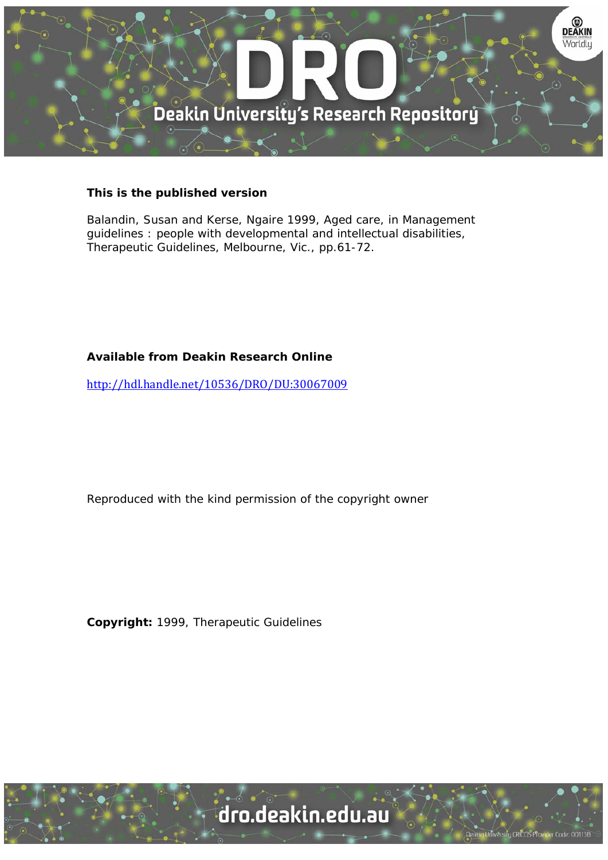

#### **This is the published version**

Balandin, Susan and Kerse, Ngaire 1999, Aged care, in Management guidelines : people with developmental and intellectual disabilities, Therapeutic Guidelines, Melbourne, Vic., pp.61-72.

#### **Available from Deakin Research Online**

http://hdl.handle.net/10536/DRO/DU:30067009

Reproduced with the kind permission of the copyright owner

**Copyright:** 1999, Therapeutic Guidelines

University CRICOS Provider Code: 00113B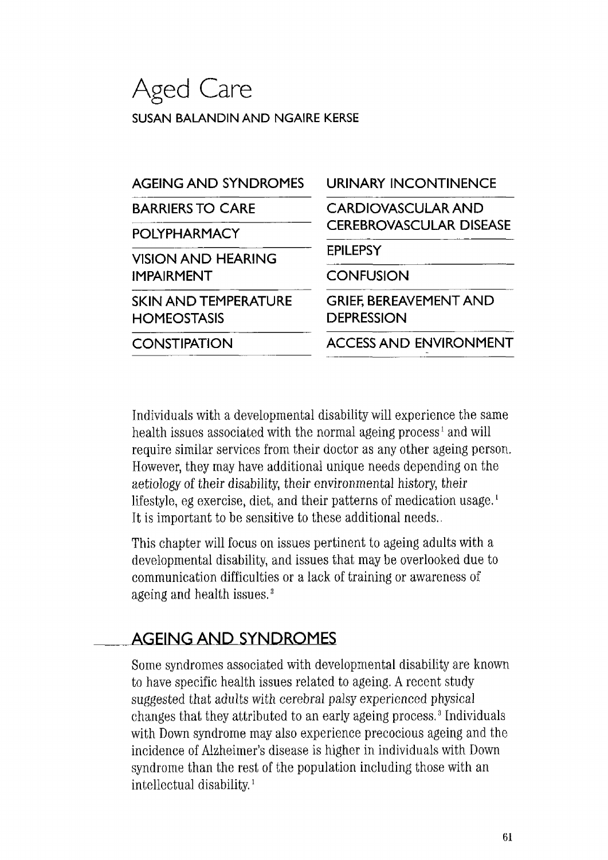# **Aged Care SUSAN BALANDIN AND NGAIRE KERSE**

| <b>URINARY INCONTINENCE</b>                        |
|----------------------------------------------------|
| <b>CARDIOVASCULAR AND</b>                          |
| <b>CEREBROVASCULAR DISEASE</b>                     |
| <b>EPILEPSY</b>                                    |
| <b>CONFUSION</b>                                   |
| <b>GRIEF, BEREAVEMENT AND</b><br><b>DEPRESSION</b> |
| <b>ACCESS AND ENVIRONMENT</b>                      |
|                                                    |

Individuals with a developmental disability will experience the same health issues associated with the normal ageing process<sup>1</sup> and will require similar services from their doctor as any other ageing person. However, they may have additional unique needs depending on the aetiology of their disability, their environmental history, their lifestyle, eg exercise, diet, and their patterns of medication usage.<sup>1</sup> It is important to be sensitive to these additional needs.

This chapter will focus on issues pertinent to ageing adults with a developmental disability, and issues that may be overlooked due to communication difficulties or a lack of training or awareness of ageing and health issues. <sup>2</sup>

## **AGEING AND SYNDROMES**

Some syndromes associated with developmental disability are known to have specific health issues related to ageing. A recent study suggested that adults with cerebral palsy experienced physical changes that they attributed to an early ageing process. 3 Individuals with Down syndrome may also experience precocious ageing and the incidence of Alzheimer's disease is higher in individuals with Down syndrome than the rest of the population including those with an intellectual disability. <sup>1</sup>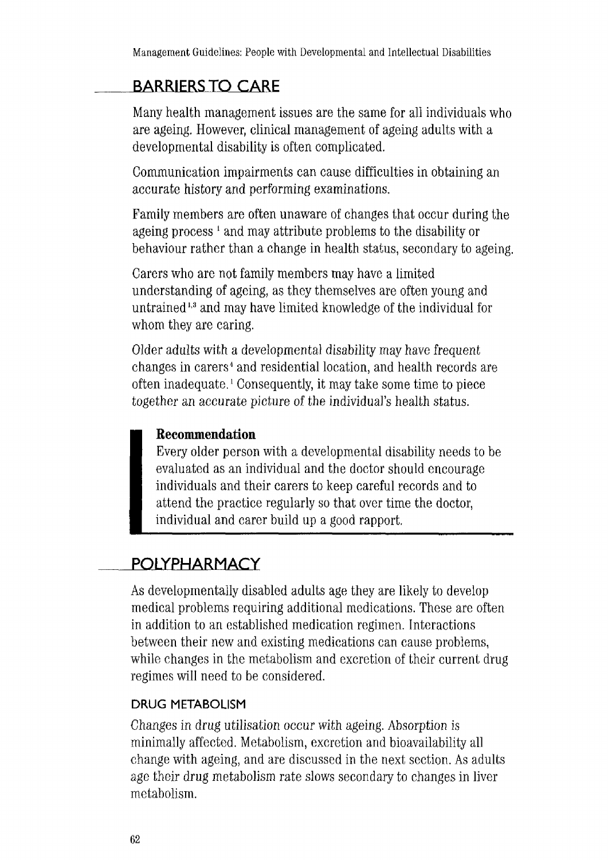## **BARRIERS TO CARE**

Many health management issues are the same for all individuals who are ageing. However, clinical management of ageing adults with a developmental disability is often complicated.

Communication impairments can cause difficulties in obtaining an accurate history and performing examinations.

Family members are often unaware of changes that occur during the ageing process<sup>1</sup> and may attribute problems to the disability or behaviour rather than a change in health status, secondary to ageing.

Carers who are not family members may have a limited understanding of ageing, as they themselves are often young and untrained 1 • 3 and may have limited knowledge of the individual for whom they are caring.

Older adults with a developmental disability may have frequent changes in carers 4 and residential location, and health records are often inadequate. 1 Consequently, it may take some time to piece together an accurate picture of the individual's health status.

### **Recommendation**

Every older person with a developmental disability needs to be evaluated as an individual and the doctor should encourage individuals and their carers to keep careful records and to attend the practice regularly so that over time the doctor, individual and carer build up a good rapport.

## **POLYPHARMACY**

As developmentally disabled adults age they are likely to develop medical problems requiring additional medications. These are often in addition to an established medication regimen. Interactions between their new and existing medications can cause problems, while changes in the metabolism and excretion of their current drug regimes will need to be considered.

### **DRUG METABOLISM**

Changes in drug utilisation occur with ageing. Absorption is minimally affected. Metabolism, excretion and bioavailability all change with ageing, and are discussed in the next section. As adults age their drug metabolism rate slows secondary to changes in liver metabolism.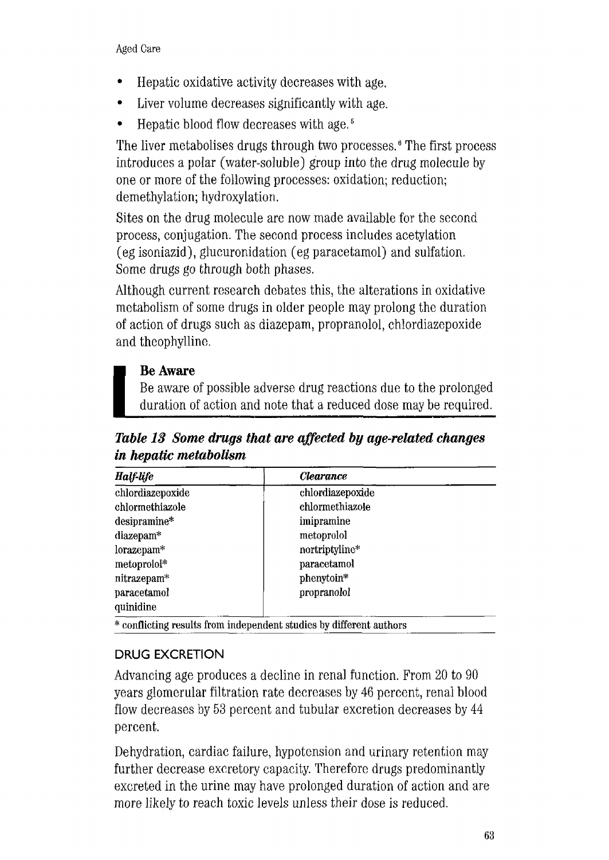- Hepatic oxidative activity decreases with age .
- Liver volume decreases significantly with age.
- Hepatic blood flow decreases with age. 5

The liver metabolises drugs through two processes. 6 The first process introduces a polar (water-soluble) group into the drug molecule by one or more of the following processes: oxidation; reduction; demethylation; hydroxylation.

Sites on the drug molecule are now made available for the second process, conjugation. The second process includes acetylation ( eg isoniazid), glucuronidation ( eg paracetamol) and sulfation. Some drugs go through both phases.

Although current research debates this, the alterations in oxidative metabolism of some drugs in older people may prolong the duration of action of drugs such as diazepam, propranolol, chlordiazepoxide and theophylline.

### **Be Aware**

Be aware of possible adverse drug reactions due to the prolonged duration of action and note that a reduced dose may be required.

*Table 13 Some drugs that are affected by age-related changes in hepatic metabolism* 

| Half-life        | <i><b>Clearance</b></i> |  |
|------------------|-------------------------|--|
| chlordiazepoxide | chlordiazepoxide        |  |
| chlormethiazole  | chlormethiazole         |  |
| desipramine*     | imipramine              |  |
| diazepam*        | metoprolol              |  |
| lorazepam*       | nortriptyline*          |  |
| metoprolol*      | paracetamol             |  |
| nitrazepam*      | phenytoin*              |  |
| paracetamol      | propranolol             |  |
| quinidine        |                         |  |

\* conflicting results from independent studies by different authors

### **DRUG EXCRETION**

Advancing age produces a decline in renal function. From 20 to 90 years glomerular filtration rate decreases by 46 percent, renal blood flow decreases by 53 percent and tubular excretion decreases by 44 percent.

Dehydration, cardiac failure, hypotension and urinary retention may further decrease excretory capacity. Therefore drugs predominantly excreted in the urine may have prolonged duration of action and are more likely to reach toxic levels unless their dose is reduced.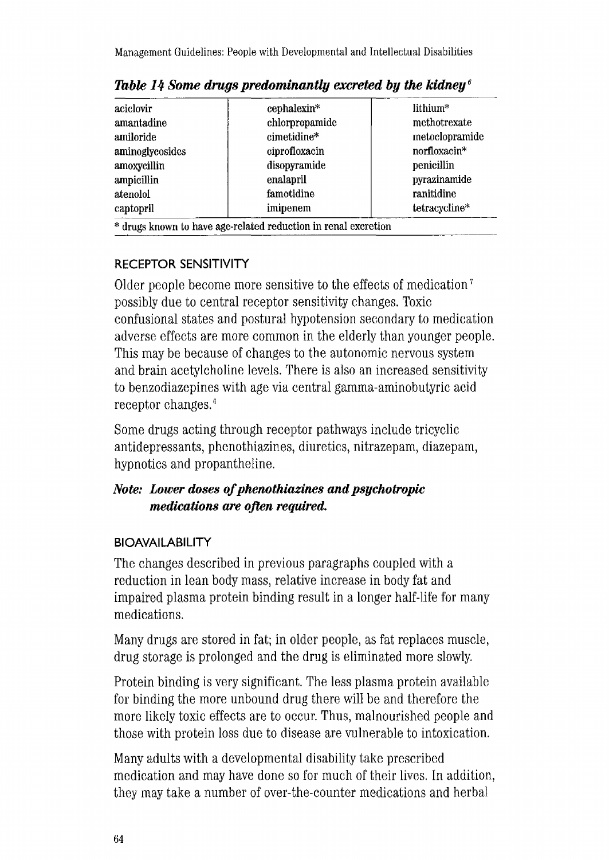| aciclovir       | cephalexin*    | lithium*       |
|-----------------|----------------|----------------|
| amantadine      | chlorpropamide | methotrexate   |
| amiloride       | cimetidine*    | metoclopramide |
| aminoglycosides | ciprofloxacin  | norfloxacin*   |
| amoxycillin     | disopyramide   | penicillin     |
| ampicillin      | enalapril      | pyrazinamide   |
| atenolol        | famotidine     | ranitidine     |
| captopril       | imipenem       | tetracycline*  |

*Table 14 Some drugs predominantly excreted* **by** *the kidney <sup>6</sup>*

### **RECEPTOR SENSITIVITY**

Older people become more sensitive to the effects of medication 7 possibly due to central receptor sensitivity changes. Toxic confusional states and postural hypotension secondary to medication adverse effects are more common in the elderly than younger people. This may be because of changes to the autonomic nervous system and brain acetylcholine levels. There is also an increased sensitivity to benzodiazepines with age via central gamma-aminobutyric acid receptor changes. *<sup>6</sup>*

Some drugs acting through receptor pathways include tricyclic antidepressants, phenothiazines, diuretics, nitrazepam, diazepam, hypnotics and propantheline.

### *Note: Lower doses of phenothiazines and psychotropic medications are often required.*

### **BIOAVAILABILITY**

The changes described in previous paragraphs coupled with a reduction in lean body mass, relative increase in body fat and impaired plasma protein binding result in a longer half-life for many medications.

Many drugs are stored in fat; in older people, as fat replaces muscle, drug storage is prolonged and the drug is eliminated more slowly.

Protein binding is very significant. The less plasma protein available for binding the more unbound drug there will be and therefore the more likely toxic effects are to occur. Thus, malnourished people and those with protein loss due to disease are vulnerable to intoxication.

Many adults with a developmental disability take prescribed medication and may have done so for much of their lives. In addition, they may take a number of over-the-counter medications and herbal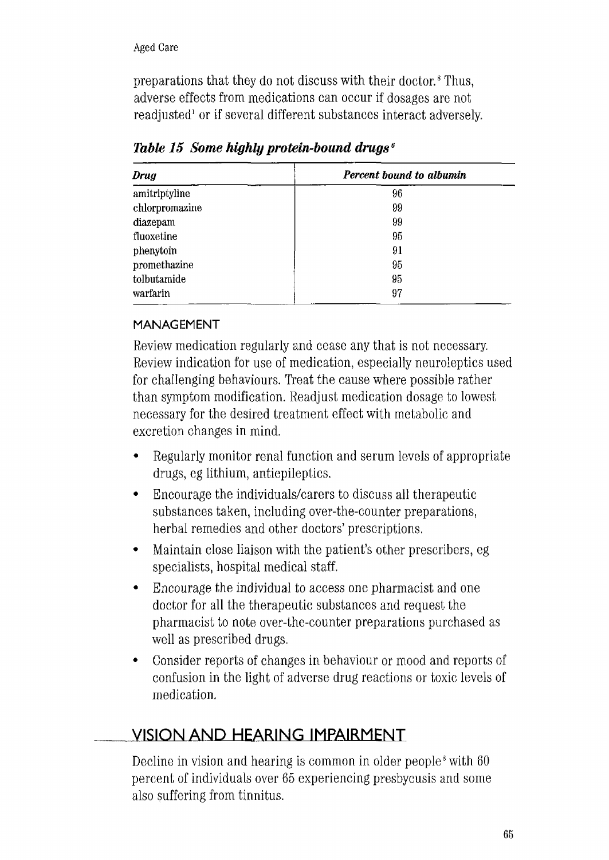preparations that they do not discuss with their doctor. 8 Thus, adverse effects from medications can occur if dosages are not readjusted<sup>1</sup> or if several different substances interact adversely.

| <b>Drug</b>    | Percent bound to albumin |
|----------------|--------------------------|
| amitriptyline  | 96                       |
| chlorpromazine | 99                       |
| diazepam       | 99                       |
| fluoxetine     | 95                       |
| phenytoin      | 91                       |
| promethazine   | 95                       |
| tolbutamide    | 95                       |
| warfarin       | 97                       |
|                |                          |

*Table 15 Some highly protein-bound drugs* <sup>6</sup>

### **MANAGEMENT**

Review medication regularly and cease any that is not necessary. Review indication for use of medication, especially neuroleptics used for challenging behaviours. Treat the cause where possible rather than symptom modification. Readjust medication dosage to lowest necessary for the desired treatment effect with metabolic and excretion changes in mind.

- Regularly monitor renal function and serum levels of appropriate drugs, eg lithium, antiepileptics.
- Encourage the individuals/carers to discuss all therapeutic substances taken, including over-the-counter preparations, herbal remedies and other doctors' prescriptions.
- Maintain close liaison with the patient's other prescribers, eg specialists, hospital medical staff.
- Encourage the individual to access one pharmacist and one doctor for all the therapeutic substances and request the pharmacist to note over-the-counter preparations purchased as well as prescribed drugs.
- Consider reports of changes in behaviour or mood and reports of confusion in the light of adverse drug reactions or toxic levels of medication.

## **VISION AND HEARING IMPAIRMENT**

Decline in vision and hearing is common in older people<sup>8</sup> with 60 percent of individuals over 65 experiencing presbycusis and some also suffering from tinnitus.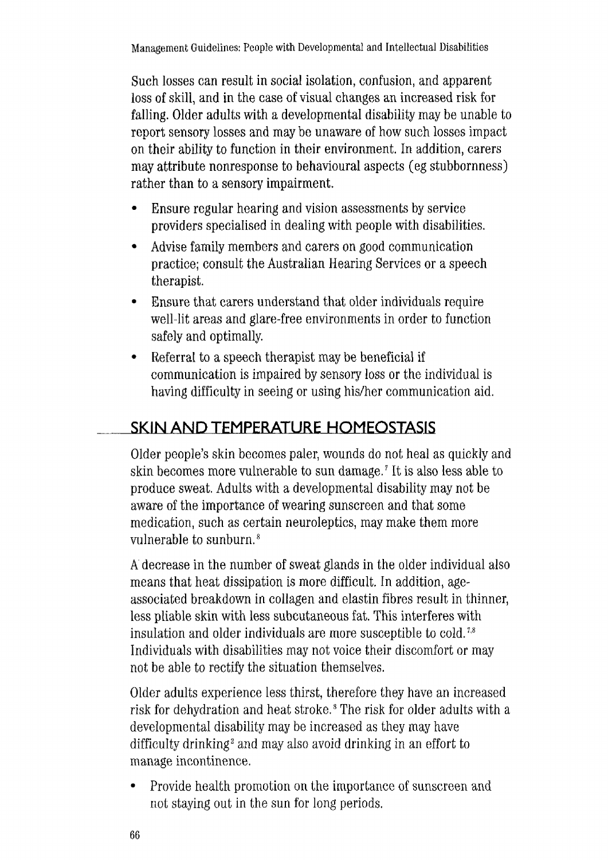Such losses can result in social isolation, confusion, and apparent loss of skill, and in the case of visual changes an increased risk for falling. Older adults with a developmental disability may be unable to report sensory losses and may be unaware of how such losses impact on their ability to function in their environment. In addition, carers may attribute nonresponse to behavioural aspects ( eg stubbornness) rather than to a sensory impairment.

- Ensure regular hearing and vision assessments by service providers specialised in dealing with people with disabilities.
- Advise family members and carers on good communication practice; consult the Australian Hearing Services or a speech therapist.
- Ensure that carers understand that older individuals require well-lit areas and glare-free environments in order to function safely and optimally.
- Referral to a speech therapist may be beneficial if communication is impaired by sensory loss or the individual is having difficulty in seeing or using his/her communication aid.

## **SKIN AND TEMPERATURE HOMEOSTASIS**

Older people's skin becomes paler, wounds do not heal as quickly and skin becomes more vulnerable to sun damage. *7* It is also less able to produce sweat. Adults with a developmental disability may not be aware of the importance of wearing sunscreen and that some medication, such as certain neuroleptics, may make them more vulnerable to sunburn. 8

A decrease in the number of sweat glands in the older individual also means that heat dissipation is more difficult. In addition, ageassociated breakdown in collagen and elastin fibres result in thinner, less pliable skin with less subcutaneous fat. This interferes with insulation and older individuals are more susceptible to cold.<sup>7,8</sup> Individuals with disabilities may not voice their discomfort or may not be able to rectify the situation themselves.

Older adults experience less thirst, therefore they have an increased risk for dehydration and heat stroke. 8 The risk for older adults with a developmental disability may be increased as they may have difficulty drinking<sup>2</sup> and may also avoid drinking in an effort to manage incontinence.

• Provide health promotion on the importance of sunscreen and not staying out in the sun for long periods.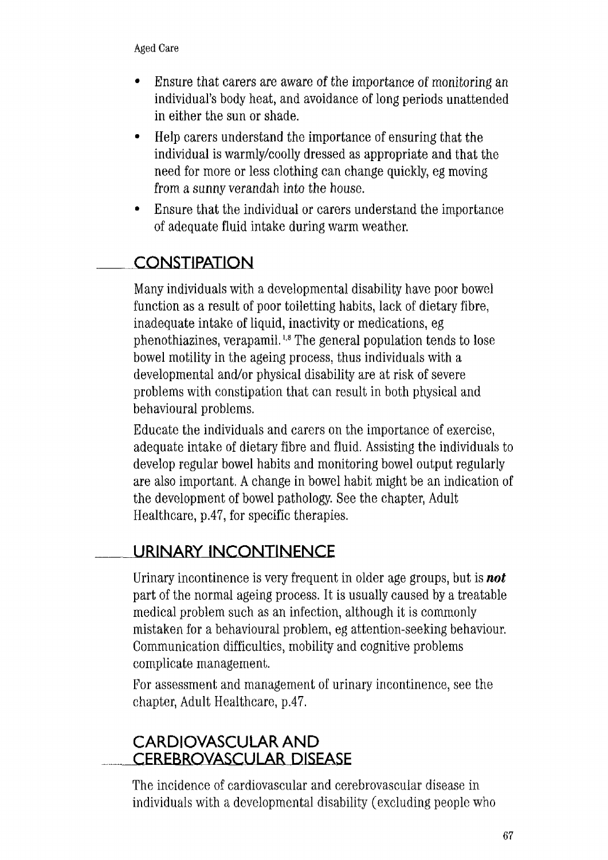- Ensure that carers are aware of the importance of monitoring an individual's body heat, and avoidance of long periods unattended in either the sun or shade.
- Help carers understand the importance of ensuring that the individual is warmly/coolly dressed as appropriate and that the need for more or less clothing can change quickly, eg moving from a sunny verandah into the house.
- Ensure that the individual or carers understand the importance of adequate fluid intake during warm weather.

## **CONSTIPATION**

Many individuals with a developmental disability have poor bowel function as a result of poor toiletting habits, lack of dietary fibre, inadequate intake of liquid, inactivity or medications, eg phenothiazines, verapamil. 1 · 8 The general population tends to lose bowel motility in the ageing process, thus individuals with a developmental and/or physical disability are at risk of severe problems with constipation that can result in both physical and behavioural problems.

Educate the individuals and carers on the importance of exercise, adequate intake of dietary fibre and fluid. Assisting the individuals to develop regular bowel habits and monitoring bowel output regularly are also important. A change in bowel habit might be an indication of the development of bowel pathology. See the chapter, Adult Healthcare, p.47, for specific therapies.

## **URINARY INCONTINENCE**

Urinary incontinence is very frequent in older age groups, but is *not*  part of the normal ageing process. It is usually caused by a treatable medical problem such as an infection, although it is commonly mistaken for a behavioural problem, eg attention-seeking behaviour. Communication difficulties, mobility and cognitive problems complicate management.

For assessment and management of urinary incontinence, see the chapter, Adult Healthcare, p.47.

## **CARDIOVASCULAR AND CEREBROVASCULAR DISEASE**

The incidence of cardiovascular and cerebrovascular disease in individuals with a developmental disability (excluding people who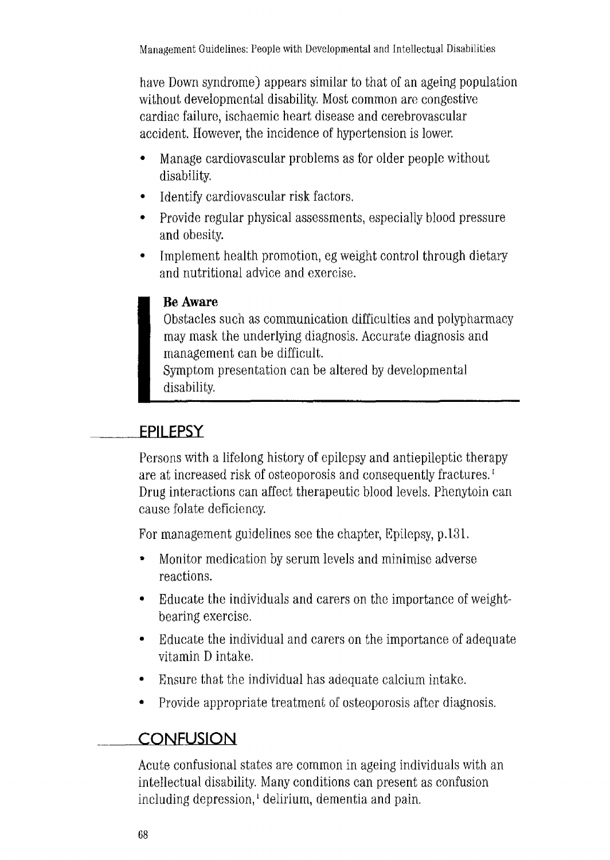have Down syndrome) appears similar to that of an ageing population without developmental disability. Most common are congestive cardiac failure, ischaemic heart disease and cerebrovascular accident. However, the incidence of hypertension is lower.

- Manage cardiovascular problems as for older people without disability.
- Identify cardiovascular risk factors.
- Provide regular physical assessments, especially blood pressure and obesity.
- Implement health promotion, eg weight control through dietary and nutritional advice and exercise.

### **Be Aware**

Obstacles such as communication difficulties and polypharmacy may mask the underlying diagnosis. Accurate diagnosis and management can be difficult.

Symptom presentation can be altered by developmental disability.

## **EPILEPSY**

Persons with a lifelong history of epilepsy and antiepileptic therapy are at increased risk of osteoporosis and consequently fractures.<sup>1</sup> Drug interactions can affect therapeutic blood levels. Phenytoin can cause folate deficiency.

For management guidelines see the chapter, Epilepsy, p.131.

- Monitor medication by serum levels and minimise adverse reactions.
- Educate the individuals and carers on the importance of weightbearing exercise.
- Educate the individual and carers on the importance of adequate vitamin D intake.
- Ensure that the individual has adequate calcium intake.
- Provide appropriate treatment of osteoporosis after diagnosis.

### **CONFUSION**

Acute confusional states are common in ageing individuals with an intellectual disability. Many conditions can present as confusion including depression, 1 delirium, dementia and pain.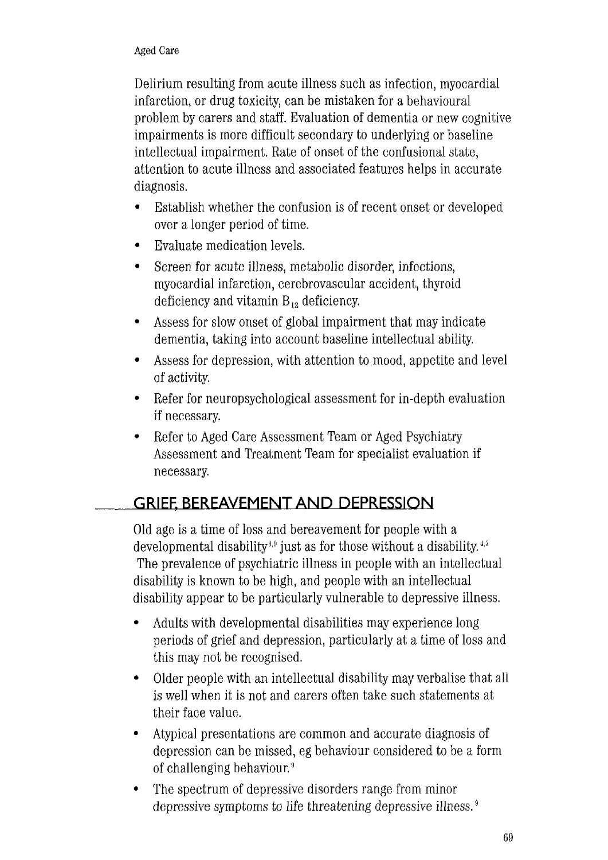Delirium resulting from acute illness such as infection, myocardial infarction, or drug toxicity, can be mistaken for a behavioural problem by carers and staff. Evaluation of dementia or new cognitive impairments is more difficult secondary to underlying or baseline intellectual impairment. Rate of onset of the confusional state, attention to acute illness and associated features helps in accurate diagnosis.

- Establish whether the confusion is of recent onset or developed over a longer period of time.
- Evaluate medication levels.
- Screen for acute illness, metabolic disorder, infections, myocardial infarction, cerebrovascular accident, thyroid deficiency and vitamin  $B_{12}$  deficiency.
- Assess for slow onset of global impairment that may indicate dementia, taking into account baseline intellectual ability.
- Assess for depression, with attention to mood, appetite and level of activity.
- Refer for neuropsychological assessment for in-depth evaluation if necessary.
- Refer to Aged Care Assessment Team or Aged Psychiatry Assessment and Treatment Team for specialist evaluation if necessary.

## **GRIEF, BEREAVEMENT AND DEPRESSION**

Old age is a time of loss and bereavement for people with a developmental disability<sup>3,9</sup> just as for those without a disability.<sup>4,7</sup> The prevalence of psychiatric illness in people with an intellectual disability is known to be high, and people with an intellectual disability appear to be particularly vulnerable to depressive illness.

- Adults with developmental disabilities may experience long periods of grief and depression, particularly at a time of loss and this may not be recognised.
- Older people with an intellectual disability may verbalise that all is well when it is not and carers often take such statements at their face value.
- Atypical presentations are common and accurate diagnosis of depression can be missed, eg behaviour considered to be a form of challenging behaviour. 9
- The spectrum of depressive disorders range from minor depressive symptoms to life threatening depressive illness. 9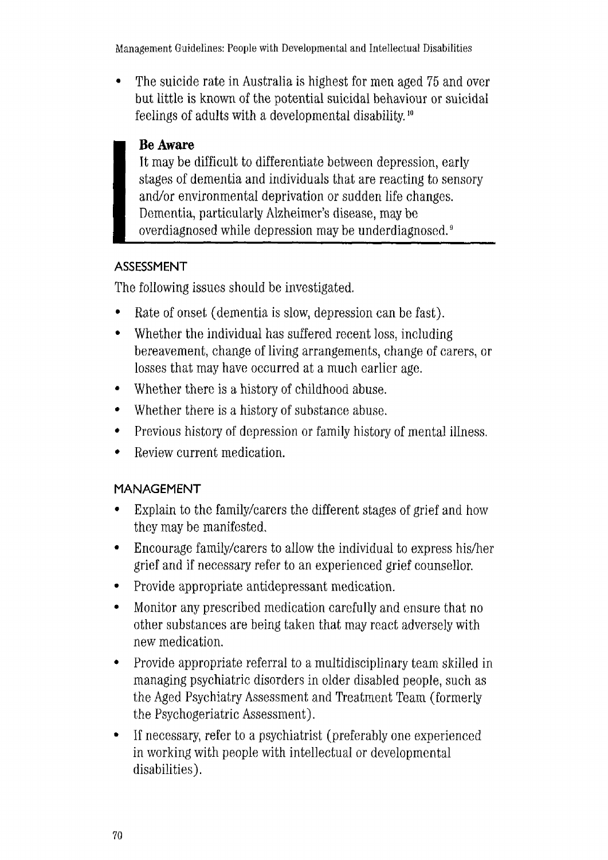Management Guidelines: People with Developmental and Intellectual Disabilities

• The suicide rate in Australia is highest for men aged 75 and over but little is known of the potential suicidal behaviour or suicidal feelings of adults with a developmental disability. 10

### **Be Aware**

It may be difficult to differentiate between depression, early stages of dementia and individuals that are reacting to sensory and/or environmental deprivation or sudden life changes. Dementia, particularly Alzheimer's disease, may be overdiagnosed while depression may be underdiagnosed. 9

### **ASSESSMENT**

The following issues should be investigated.

- Rate of onset (dementia is slow, depression can be fast).
- Whether the individual has suffered recent loss, including bereavement, change of living arrangements, change of carers, or losses that may have occurred at a much earlier age.
- Whether there is a history of childhood abuse.
- Whether there is a history of substance abuse.
- Previous history of depression or family history of mental illness.
- Review current medication.

### **MANAGEMENT**

- Explain to the family/carers the different stages of grief and how they may be manifested.
- Encourage family/carers to allow the individual to express his/her grief and if necessary refer to an experienced grief counsellor.
- Provide appropriate antidepressant medication.
- Monitor any prescribed medication carefully and ensure that no other substances are being taken that may react adversely with new medication.
- Provide appropriate referral to a multidisciplinary team skilled in managing psychiatric disorders in older disabled people, such as the Aged Psychiatry Assessment and Treatment Team (formerly the Psychogeriatric Assessment).
- If necessary, refer to a psychiatrist (preferably one experienced in working with people with intellectual or developmental disabilities).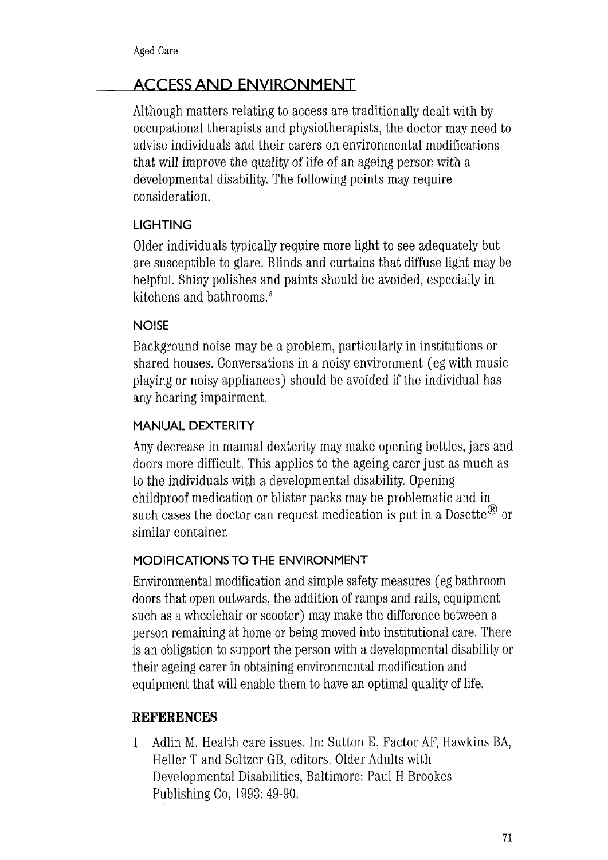## **ACCESS AND ENVIRONMENT**

Although matters relating to access are traditionally dealt with by occupational therapists and physiotherapists, the doctor may need to advise individuals and their carers on environmental modifications that will improve the quality of life of an ageing person with a developmental disability. The following points may require consideration.

### **LIGHTING**

Older individuals typically require more light to see adequately but are susceptible to glare. Blinds and curtains that diffuse light may be helpful. Shiny polishes and paints should be avoided, especially in kitchens and bathrooms. 8

### **NOISE**

Background noise may be a problem, particularly in institutions or shared houses. Conversations in a noisy environment ( eg with music playing or noisy appliances) should be avoided if the individual has any hearing impairment.

### **MANUAL DEXTERITY**

Any decrease in manual dexterity may make opening bottles, jars and doors more difficult. This applies to the ageing carer just as much as to the individuals with a developmental disabihty. Opening childproof medication or blister packs may be problematic and in such cases the doctor can request medication is put in a Dosette<sup> $\mathcal{B}$ </sup> or similar container.

### **MODIFICATIONS TO THE ENVIRONMENT**

Environmental modification and simple safety measures ( eg bathroom doors that open outwards, the addition of ramps and rails, equipment such as a wheelchair or scooter) may make the difference between a person remaining at home or being moved into institutional care. There is an obligation to support the person with a developmental disability or their ageing carer in obtaining environmental modification and equipment that will enable them to have an optimal quality of life.

### **REFERENCES**

**1** Adlin M. Health care issues. In: Sutton E, Factor AF) Hawkins BA, Heller T and Seltzer GB, editors. Older Adults with Developmental Disabilities, Baltimore: Paul H Brookes Publishing Co, 1993: 49-90.